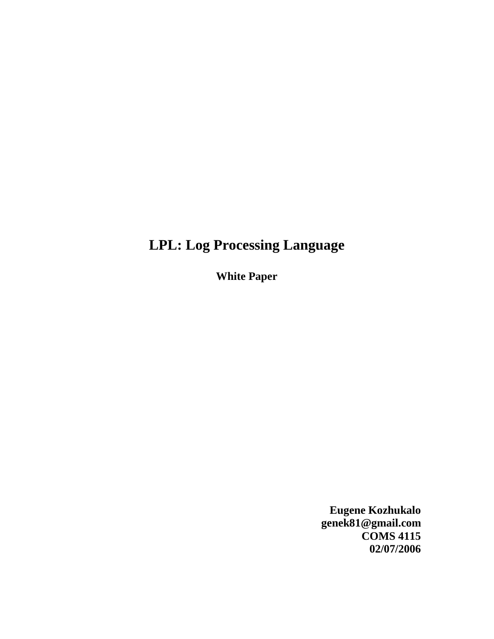# **LPL: Log Processing Language**

**White Paper** 

**Eugene Kozhukalo genek81@gmail.com COMS 4115 02/07/2006**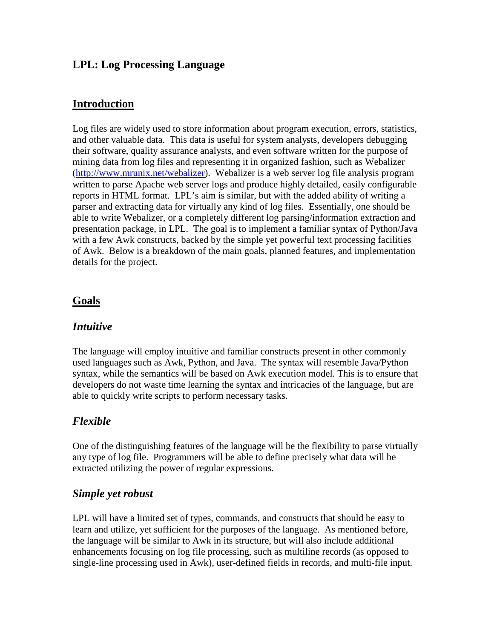## **LPL: Log Processing Language**

## **Introduction**

Log files are widely used to store information about program execution, errors, statistics, and other valuable data. This data is useful for system analysts, developers debugging their software, quality assurance analysts, and even software written for the purpose of mining data from log files and representing it in organized fashion, such as Webalizer (http://www.mrunix.net/webalizer). Webalizer is a web server log file analysis program written to parse Apache web server logs and produce highly detailed, easily configurable reports in HTML format. LPL's aim is similar, but with the added ability of writing a parser and extracting data for virtually any kind of log files. Essentially, one should be able to write Webalizer, or a completely different log parsing/information extraction and presentation package, in LPL. The goal is to implement a familiar syntax of Python/Java with a few Awk constructs, backed by the simple yet powerful text processing facilities of Awk. Below is a breakdown of the main goals, planned features, and implementation details for the project.

#### **Goals**

#### *Intuitive*

The language will employ intuitive and familiar constructs present in other commonly used languages such as Awk, Python, and Java. The syntax will resemble Java/Python syntax, while the semantics will be based on Awk execution model. This is to ensure that developers do not waste time learning the syntax and intricacies of the language, but are able to quickly write scripts to perform necessary tasks.

# *Flexible*

One of the distinguishing features of the language will be the flexibility to parse virtually any type of log file. Programmers will be able to define precisely what data will be extracted utilizing the power of regular expressions.

#### *Simple yet robust*

LPL will have a limited set of types, commands, and constructs that should be easy to learn and utilize, yet sufficient for the purposes of the language. As mentioned before, the language will be similar to Awk in its structure, but will also include additional enhancements focusing on log file processing, such as multiline records (as opposed to single-line processing used in Awk), user-defined fields in records, and multi-file input.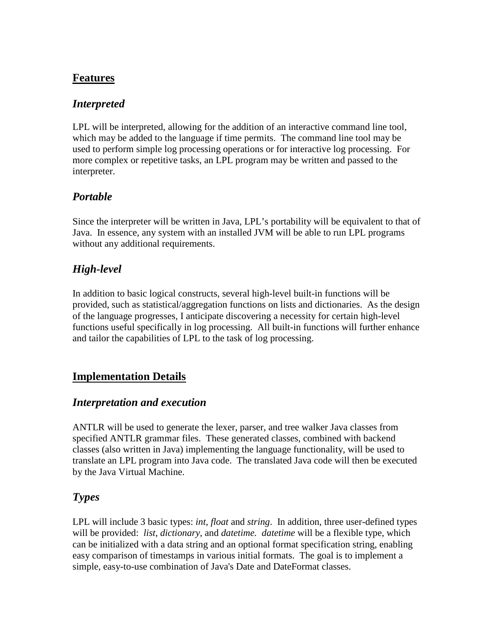# **Features**

#### *Interpreted*

LPL will be interpreted, allowing for the addition of an interactive command line tool, which may be added to the language if time permits. The command line tool may be used to perform simple log processing operations or for interactive log processing. For more complex or repetitive tasks, an LPL program may be written and passed to the interpreter.

# *Portable*

Since the interpreter will be written in Java, LPL's portability will be equivalent to that of Java. In essence, any system with an installed JVM will be able to run LPL programs without any additional requirements.

# *High-level*

In addition to basic logical constructs, several high-level built-in functions will be provided, such as statistical/aggregation functions on lists and dictionaries. As the design of the language progresses, I anticipate discovering a necessity for certain high-level functions useful specifically in log processing. All built-in functions will further enhance and tailor the capabilities of LPL to the task of log processing.

# **Implementation Details**

#### *Interpretation and execution*

ANTLR will be used to generate the lexer, parser, and tree walker Java classes from specified ANTLR grammar files. These generated classes, combined with backend classes (also written in Java) implementing the language functionality, will be used to translate an LPL program into Java code. The translated Java code will then be executed by the Java Virtual Machine.

#### *Types*

LPL will include 3 basic types: *int*, *float* and *string*. In addition, three user-defined types will be provided: *list*, *dictionary*, and *datetime. datetime* will be a flexible type, which can be initialized with a data string and an optional format specification string, enabling easy comparison of timestamps in various initial formats. The goal is to implement a simple, easy-to-use combination of Java's Date and DateFormat classes.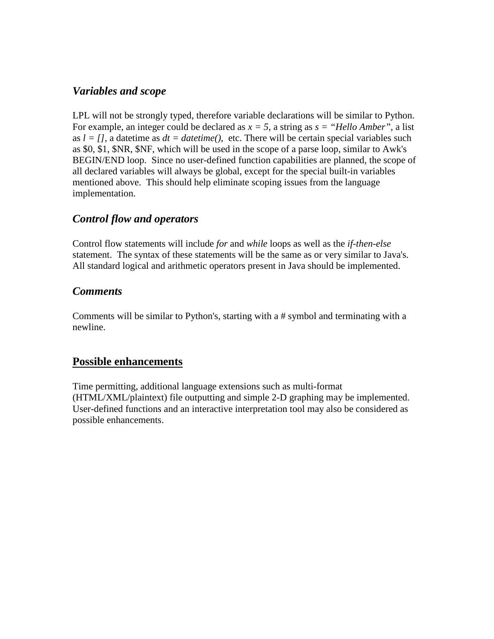#### *Variables and scope*

LPL will not be strongly typed, therefore variable declarations will be similar to Python. For example, an integer could be declared as  $x = 5$ , a string as  $s =$  "Hello Amber", a list as  $l = l$ , a datetime as  $dt = datetime$ , etc. There will be certain special variables such as \$0, \$1, \$NR, \$NF, which will be used in the scope of a parse loop, similar to Awk's BEGIN/END loop. Since no user-defined function capabilities are planned, the scope of all declared variables will always be global, except for the special built-in variables mentioned above. This should help eliminate scoping issues from the language implementation.

# *Control flow and operators*

Control flow statements will include *for* and *while* loops as well as the *if-then-else* statement. The syntax of these statements will be the same as or very similar to Java's. All standard logical and arithmetic operators present in Java should be implemented.

# *Comments*

Comments will be similar to Python's, starting with a # symbol and terminating with a newline.

# **Possible enhancements**

Time permitting, additional language extensions such as multi-format (HTML/XML/plaintext) file outputting and simple 2-D graphing may be implemented. User-defined functions and an interactive interpretation tool may also be considered as possible enhancements.